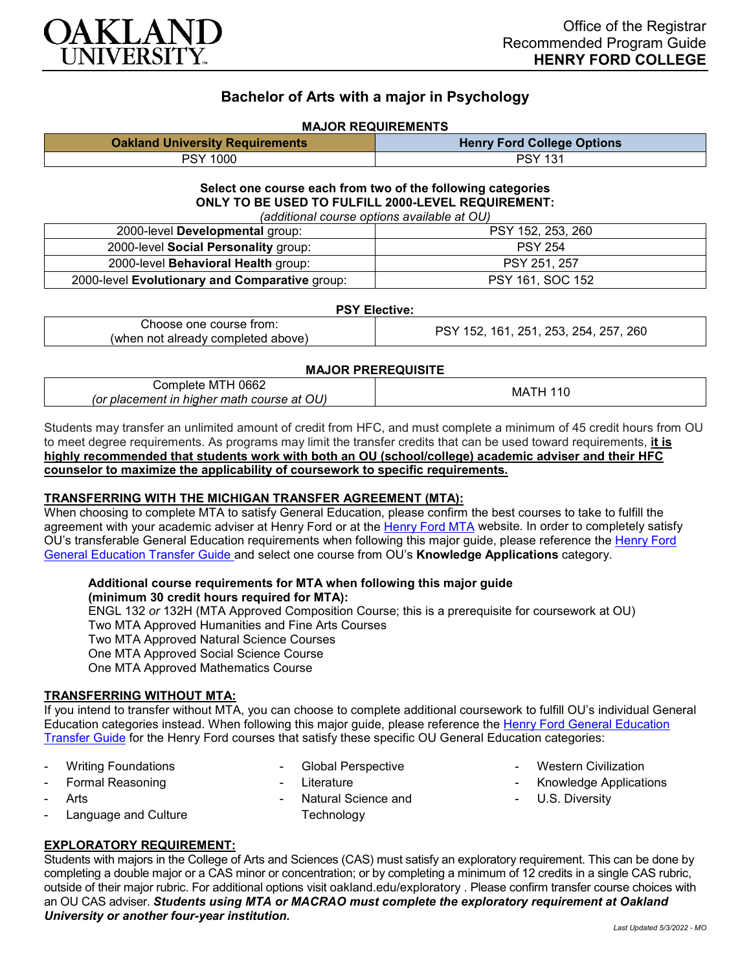

# **Bachelor of Arts with a major in Psychology**

#### **MAJOR REQUIREMENTS**

| <b>Oakland University Requirements</b> | <b>Henry Ford College Options</b> |
|----------------------------------------|-----------------------------------|
| <b>PSY 1000</b>                        | <b>PSY 131</b>                    |

#### **Select one course each from two of the following categories ONLY TO BE USED TO FULFILL 2000-LEVEL REQUIREMENT:** *(additional course options available at OU)*

| (additional course options available at OO)    |                   |  |
|------------------------------------------------|-------------------|--|
| 2000-level Developmental group:                | PSY 152, 253, 260 |  |
| 2000-level Social Personality group:           | <b>PSY 254</b>    |  |
| 2000-level <b>Behavioral Health</b> group:     | PSY 251, 257      |  |
| 2000-level Evolutionary and Comparative group: | PSY 161, SOC 152  |  |

#### **PSY Elective:**

| Choose one course from:            | , 251, 253, 254, 257, 260<br>161.<br>152 |
|------------------------------------|------------------------------------------|
| (when not already completed above) |                                          |

#### **MAJOR PREREQUISITE**

| 0662<br>じomplete MTH<br>(or placement in higher math course at OU) | МA |
|--------------------------------------------------------------------|----|
|--------------------------------------------------------------------|----|

Students may transfer an unlimited amount of credit from HFC, and must complete a minimum of 45 credit hours from OU to meet degree requirements. As programs may limit the transfer credits that can be used toward requirements, **it is highly recommended that students work with both an OU (school/college) academic adviser and their HFC counselor to maximize the applicability of coursework to specific requirements.**

### **TRANSFERRING WITH THE MICHIGAN TRANSFER AGREEMENT (MTA):**

When choosing to complete MTA to satisfy General Education, please confirm the best courses to take to fulfill the agreement with your academic adviser at Henry Ford or at the [Henry Ford MTA](https://catalog.hfcc.edu/degrees/gen-ed) website. In order to completely satisfy OU's transferable General Education requirements when following this major guide, please reference the [Henry Ford](https://www.oakland.edu/Assets/Oakland/program-guides/henry-ford-college/university-general-education-requirements/Henry%20Ford%20Gen%20Ed.pdf)  [General Education Transfer Guide](https://www.oakland.edu/Assets/Oakland/program-guides/henry-ford-college/university-general-education-requirements/Henry%20Ford%20Gen%20Ed.pdf) and select one course from OU's **Knowledge Applications** category.

## **Additional course requirements for MTA when following this major guide**

**(minimum 30 credit hours required for MTA):** ENGL 132 *or* 132H (MTA Approved Composition Course; this is a prerequisite for coursework at OU) Two MTA Approved Humanities and Fine Arts Courses Two MTA Approved Natural Science Courses One MTA Approved Social Science Course One MTA Approved Mathematics Course

### **TRANSFERRING WITHOUT MTA:**

If you intend to transfer without MTA, you can choose to complete additional coursework to fulfill OU's individual General Education categories instead. When following this major guide, please reference the [Henry Ford General Education](https://www.oakland.edu/Assets/Oakland/program-guides/henry-ford-college/university-general-education-requirements/Henry%20Ford%20Gen%20Ed.pdf)  [Transfer Guide](https://www.oakland.edu/Assets/Oakland/program-guides/henry-ford-college/university-general-education-requirements/Henry%20Ford%20Gen%20Ed.pdf) for the Henry Ford courses that satisfy these specific OU General Education categories:

- Writing Foundations
- 
- Formal Reasoning
- **Arts**
- Language and Culture
- Global Perspective
- **Literature**
- Natural Science and **Technology**
- **Western Civilization**
- Knowledge Applications
- U.S. Diversity

## **EXPLORATORY REQUIREMENT:**

Students with majors in the College of Arts and Sciences (CAS) must satisfy an exploratory requirement. This can be done by completing a double major or a CAS minor or concentration; or by completing a minimum of 12 credits in a single CAS rubric, outside of their major rubric. For additional options visit [oakland.edu/exploratory](http://www.oakland.edu/exploratory) . Please confirm transfer course choices with an OU CAS adviser. *Students using MTA or MACRAO must complete the exploratory requirement at Oakland University or another four-year institution.*